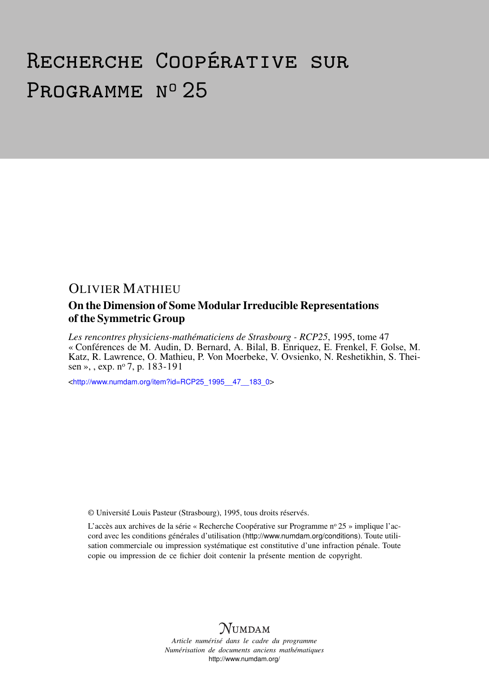# Recherche Coopérative sur PROGRAMME Nº 25

## OLIVIER MATHIEU

### On the Dimension of Some Modular Irreducible Representations of the Symmetric Group

*Les rencontres physiciens-mathématiciens de Strasbourg - RCP25*, 1995, tome 47 « Conférences de M. Audin, D. Bernard, A. Bilal, B. Enriquez, E. Frenkel, F. Golse, M. Katz, R. Lawrence, O. Mathieu, P. Von Moerbeke, V. Ovsienko, N. Reshetikhin, S. Theisen », , exp. nº 7, p. 183-191

<[http://www.numdam.org/item?id=RCP25\\_1995\\_\\_47\\_\\_183\\_0](http://www.numdam.org/item?id=RCP25_1995__47__183_0)>

© Université Louis Pasteur (Strasbourg), 1995, tous droits réservés.

L'accès aux archives de la série « Recherche Coopérative sur Programme nº 25 » implique l'accord avec les conditions générales d'utilisation (<http://www.numdam.org/conditions>). Toute utilisation commerciale ou impression systématique est constitutive d'une infraction pénale. Toute copie ou impression de ce fichier doit contenir la présente mention de copyright.



*Article numérisé dans le cadre du programme Numérisation de documents anciens mathématiques* <http://www.numdam.org/>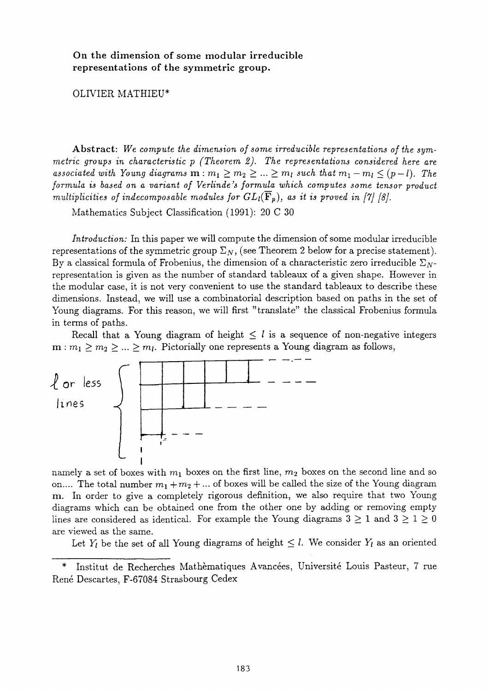**On the dimension of some modular irreducible representations of the symmetric group.** 

#### OLIVIER MATHIEU\*

**Abstract:** *We compute the dimension of some irreducible representations of the symmetric groups in characteristic (Theorem 2). The representations considered here are*   $\alpha$ *ssociated with Young diagrams*  $\mathbf{m} : m_1 \geq m_2 \geq ... \geq m_l$  such that  $m_1 - m_l \leq (p - l)$ . The *formula is based on a variant of Verlinde's formula which computes some tensor product multiplicities of indecomposable modules for*  $GL_i(\mathbf{F}_p)$ *, as it is proved in [7] [8].* 

Mathematics Subject Classification (1991): 20 C 30

*Introduction:* In this paper we will compute the dimension of some modular irreducible representations of the symmetric group  $\Sigma_N$ , (see Theorem 2 below for a precise statement). By a classical formula of Frobenius, the dimension of a characteristic zero irreducible  $\Sigma_{N}$ representation is given as the number of standard tableaux of a given shape. However in the modular case, it is not very convenient to use the standard tableaux to describe these dimensions. Instead, we will use a combinatorial description based on paths in the set of Young diagrams. For this reason, we will first "translate" the classical Frobenius formula in terms of paths.

Recall that a Young diagram of height  $\leq l$  is a sequence of non-negative integers  $m : m_1 \geq m_2 \geq ... \geq m_l$ . Pictorially one represents a Young diagram as follows,



namely a set of boxes with  $m_1$  boxes on the first line,  $m_2$  boxes on the second line and so on.... The total number  $m_1 + m_2 + ...$  of boxes will be called the size of the Young diagram **m.** In order to give a completely rigorous definition, we also require that two Young diagrams which can be obtained one from the other one by adding or removing empty lines are considered as identical. For example the Young diagrams  $3 \geq 1$  and  $3 \geq 1 \geq 0$ are viewed as the same.

Let  $Y_i$  be the set of all Young diagrams of height  $\leq l$ . We consider  $Y_l$  as an oriented

<sup>\*</sup> Institut de Recherches Mathématiques Avancées, Université Louis Pasteur, 7 rue René Descartes, F-67084 Strasbourg Cedex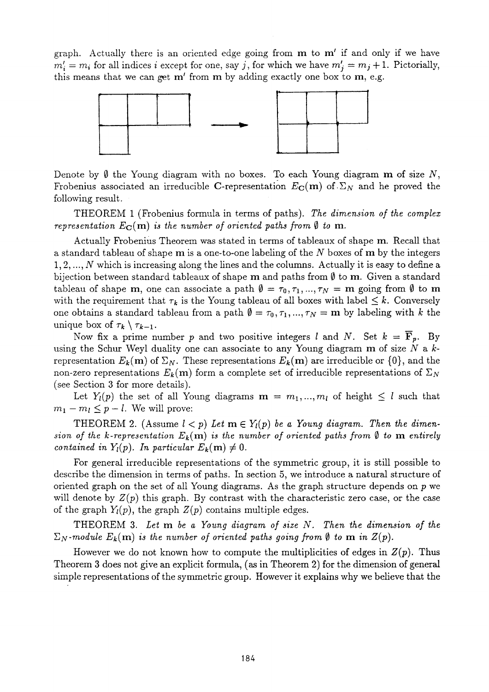graph. Actually there is an oriented edge going from **m** to **m'** if and only if we have  $m'_i = m_i$  for all indices *i* except for one, say *j*, for which we have  $m'_i = m_i + 1$ . Pictorially, this means that we can get **m'** from **m** by adding exactly one box to **m,** e.g.



Denote by  $\emptyset$  the Young diagram with no boxes. To each Young diagram **m** of size  $N$ , Frobenius associated an irreducible C-representation  $E_{\text{C}}(\text{m})$  of  $\Sigma_N$  and he proved the following result.

THEOREM **1** (Frobenius formula in terms of paths). *The dimension of the complex representation*  $E_C(\mathbf{m})$  *is the number of oriented paths from*  $\emptyset$  *to* **m**.

Actually Frobenius Theorem was stated in terms of tableaux of shape **m.** Recall that a standard tableau of shape **m** is a one-to-one labeling of the N boxes of **m** by the integers **1,2,...,** *Ν* which is increasing along the lines and the columns. Actually it is easy to define a bijection between standard tableaux of shape **m** and paths from **0** to **m.** Given a standard tableau of shape **m**, one can associate a path  $\mathbf{0} = \tau_0, \tau_1, ..., \tau_N = \mathbf{m}$  going from  $\mathbf{0}$  to **m** with the requirement that  $\tau_k$  is the Young tableau of all boxes with label  $\leq k$ . Conversely one obtains a standard tableau from a path  $\mathbf{0} = \tau_0, \tau_1, ..., \tau_N = \mathbf{m}$  by labeling with k the unique box of  $\tau_k \setminus \tau_{k-1}$ .

Now fix a prime number p and two positive integers l and N. Set  $k = \mathbf{F}_p$ . By using the Schur Weyl duality one can associate to any Young diagram m of size N a krepresentation  $E_k(\mathbf{m})$  of  $\Sigma_N$ . These representations  $E_k(\mathbf{m})$  are irreducible or  $\{0\}$ , and the non-zero representations  $E_k(m)$  form a complete set of irreducible representations of  $\Sigma_N$ (see Section **3** for more details).

Let  $Y_i(p)$  the set of all Young diagrams  $m = m_1, ..., m_l$  of height  $\leq l$  such that  $m_1 - m_l \leq p - l$ . We will prove:

THEOREM 2. (Assume  $l < p$ ) Let  $m \in Y_l(p)$  be a Young diagram. Then the dimen*sion of the k-representation*  $E_k(m)$  *is the number of oriented paths from*  $\emptyset$  *to* **m** *entirely contained in Y<sub>l</sub>(p). In particular*  $E_k(m) \neq 0$ .

For general irreducible representations of the symmetric group, it is still possible to describe the dimension in terms of paths. In section 5, we introduce a natural structure of oriented graph on the set of all Young diagrams. As the graph structure depends on we will denote by  $Z(p)$  this graph. By contrast with the characteristic zero case, or the case of the graph  $Y_l(p)$ , the graph  $Z(p)$  contains multiple edges.

THEOREM **3.** *Let m be a Young diagram of size . Then the dimension of the*   $\Sigma_N$ -module  $E_k(m)$  is the number of oriented paths going from  $\emptyset$  to **m** in  $Z(p)$ .

However we do not known how to compute the multiplicities of edges in  $Z(p)$ . Thus Theorem **3** does not give an explicit formula, (as in Theorem **2)** for the dimension of general simple representations of the symmetric group. However it explains why we believe that the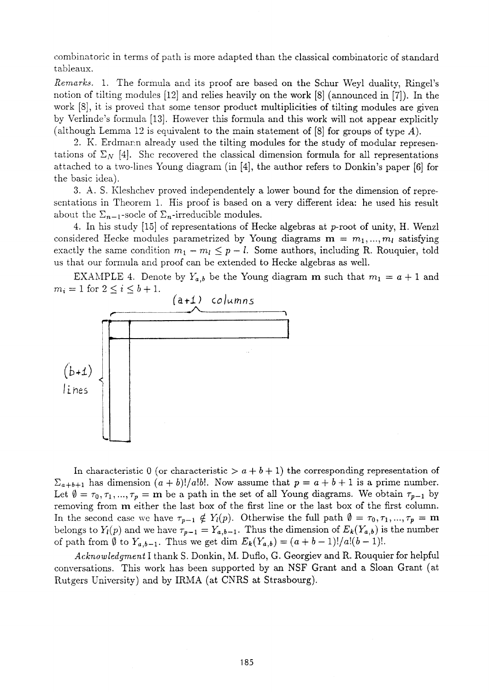combinatoric in terms of path is more adapted than the classical combinatoric of standard tableaux.

*Remarks.* 1. The formula and its proof are based on the Schur Weyl duality, Ringel's notion of tilting modules [12] and relies heavily on the work [8] (announced in [7]). In the work [8], it is proved that some tensor product multiplicities of tilting modules are given by Verlinde's formula [13]. However this formula and this work will not appear explicitly (although Lemma 12 is equivalent to the main statement of [8] for groups of type *A).* 

2. K. Erdmann already used the tilting modules for the study of modular representations of  $\Sigma_N$  [4]. She recovered the classical dimension formula for all representations attached to a two-lines Young diagram (in [4], the author refers to Donkin's paper [6] for the basic idea).

3. A. S. Kleshchev proved independentely a lower bound for the dimension of representations in Theorem 1. His proof is based on a very different idea: he used his result about the  $\Sigma_{n-1}$ -socle of  $\Sigma_n$ -irreducible modules.

4. In his study [15] of representations of Hecke algebras at p-root of unity, H. Wenzl considered Hecke modules parametrized by Young diagrams  $m = m_1, ..., m_l$  satisfying exactly the same condition  $m_1 - m_l \leq p - l$ . Some authors, including R. Rouquier, told us that our formula and proof can be extended to Hecke algebras as well.

EXAMPLE 4. Denote by  $Y_{a,b}$  be the Young diagram **m** such that  $m_1 = a + 1$  and  $m_i = 1$  for  $2 \le i \le b + 1$ .



In characteristic 0 (or characteristic  $>a + b + 1$ ) the corresponding representation of  $\Sigma_{a+b+1}$  has dimension  $(a + b)!/a!b!$ . Now assume that  $p = a + b + 1$  is a prime number. Let  $\emptyset = \tau_0, \tau_1, ..., \tau_p = \mathbf{m}$  be a path in the set of all Young diagrams. We obtain  $\tau_{p-1}$  by removing from **m** either the last box of the first line or the last box of the first column. In the second case we have  $\tau_{p-1} \notin Y_l(p)$ . Otherwise the full path  $\emptyset = \tau_0, \tau_1, ..., \tau_p = m$ belongs to  $Y_i(p)$  and we have  $\tau_{p-1} = Y_{a,b-1}$ . Thus the dimension of  $E_k(Y_{a,b})$  is the number of path from  $\emptyset$  to  $Y_{a,b-1}$ . Thus we get dim  $E_k(Y_{a,b}) = (a+b-1)!/a!(b-1)!$ .

*Acknowledgment* I thank S. Donkin, M. Duflo, G. Georgiev and R. Rouquier for helpful conversations. This work has been supported by an NSF Grant and a Sloan Grant (at Rutgers University) and by IRMA (at CNRS at Strasbourg).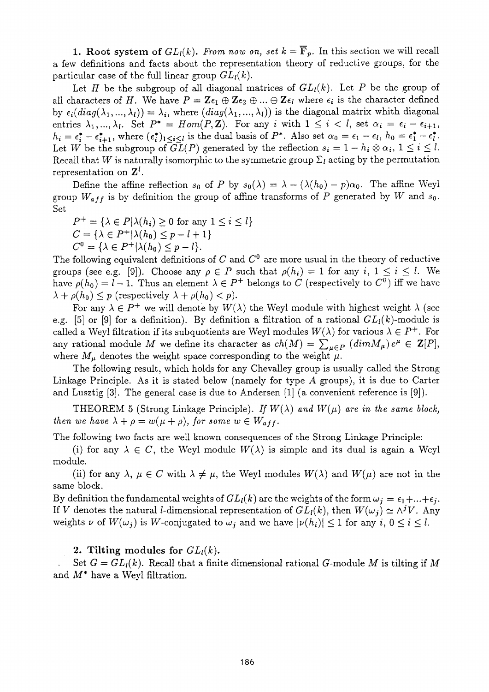**1.** Root system of  $GL_l(k)$ . From now on, set  $k = \overline{F}_p$ . In this section we will recall a few definitions and facts about the representation theory of reductive groups, for the particular case of the full linear group  $GL_{l}(k)$ .

Let *H* be the subgroup of all diagonal matrices of  $GL<sub>l</sub>(k)$ . Let *P* be the group of all characters of H. We have  $P = \mathbb{Z} \epsilon_1 \oplus \mathbb{Z} \epsilon_2 \oplus ... \oplus \mathbb{Z} \epsilon_l$  where  $\epsilon_i$  is the character defined by  $\epsilon_i(diag(\lambda_1,...,\lambda_l)) = \lambda_i$ , where  $(diag(\lambda_1,...,\lambda_l))$  is the diagonal matrix whith diagonal entries  $\lambda_1, ..., \lambda_l$ . Set  $P^* = Hom(P, \mathbb{Z})$ . For any *i* with  $1 \leq i \leq l$ , set  $\alpha_i = \epsilon_i - \epsilon_{i+1}$ ,  $h_i = \epsilon_i^* - \epsilon_{i+1}^*$ , where  $(\epsilon_i^*)_{1 \leq i \leq l}$  is the dual basis of  $P^*$ . Also set  $\alpha_0 = \epsilon_1 - \epsilon_l$ ,  $h_0 = \epsilon_1^* - \epsilon_l^*$ . Let *W* be the subgroup of  $GL(P)$  generated by the reflection  $s_i = 1 - h_i \otimes \alpha_i, 1 \leq i \leq l$ . Recall that *W* is naturally isomorphic to the symmetric group  $\Sigma_l$  acting by the permutation representation *on Z<sup>l</sup> .* 

Define the affine reflection  $s_0$  of P by  $s_0(\lambda) = \lambda - (\lambda(h_0) - p)\alpha_0$ . The affine Weyl group  $W_{aff}$  is by definition the group of affine transforms of P generated by W and  $s_0$ . Set

 $P^+ = {\lambda \in P | \lambda(h_i) \geq 0 \text{ for any } 1 \leq i \leq l}$  $C = {\lambda \in P^+ | \lambda(h_0) \leq p - l + 1}$  $C^0 = {\lambda \in P^+ | \lambda(h_0) \leq p - l}.$ 

The following equivalent definitions of *C* and *C°* are more usual in the theory of reductive groups (see e.g. [9]). Choose any  $\rho \in P$  such that  $\rho(h_i) = 1$  for any i,  $1 \le i \le l$ . We have  $\rho(h_0) = l - 1$ . Thus an element  $\lambda \in P^+$  belongs to C (respectively to  $C^0$ ) iff we have  $\lambda + \rho(h_0) \leq p$  (respectively  $\lambda + \rho(h_0) < p$ ).

For any  $\lambda \in P^+$  we will denote by  $W(\lambda)$  the Weyl module with highest weight  $\lambda$  (see e.g. [5] or [9] for a definition). By definition a filtration of a rational  $GL_l(k)$ -module is called a Weyl filtration if its subquotients are Weyl modules  $W(\lambda)$  for various  $\lambda \in P^+$ . For any rational module M we define its character as  $ch(M) = \sum_{\mu \in P} (dim M_{\mu}) e^{\mu} \in \mathbb{Z}[P],$ where  $M_{\mu}$  denotes the weight space corresponding to the weight  $\mu$ .

The following result, which holds for any Chevalley group is usually called the Strong Linkage Principle. As it is stated below (namely for type *A* groups), it is due to Carter and Lusztig [3]. The general case is due to Andersen [1] (a convenient reference is [9]).

THEOREM 5 (Strong Linkage Principle). If  $W(\lambda)$  and  $W(\mu)$  are in the same block, *then we have*  $\lambda + \rho = w(\mu + \rho)$ , for some  $w \in W_{aff}$ .

The following two facts are well known consequences of the Strong Linkage Principle:

(i) for any  $\lambda \in C$ , the Weyl module  $W(\lambda)$  is simple and its dual is again a Weyl module.

(ii) for any  $\lambda, \mu \in C$  with  $\lambda \neq \mu$ , the Weyl modules  $W(\lambda)$  and  $W(\mu)$  are not in the same block.

By definition the fundamental weights of  $GL_{l}(k)$  are the weights of the form  $\omega_{i} = \epsilon_{1} + ... + \epsilon_{i}$ . If V denotes the natural *l*-dimensional representation of  $GL_l(k)$ , then  $W(\omega_j) \simeq \wedge^j V$ . Any weights  $\nu$  of  $W(\omega_i)$  is W-conjugated to  $\omega_i$  and we have  $|\nu(h_i)| \leq 1$  for any  $i, 0 \leq i \leq l$ .

#### 2. Tilting modules for  $GL_l(k)$ .

Set  $G = GL<sub>l</sub>(k)$ . Recall that a finite dimensional rational *G*-module *M* is tilting if *M* and M\* have a Weyl filtration.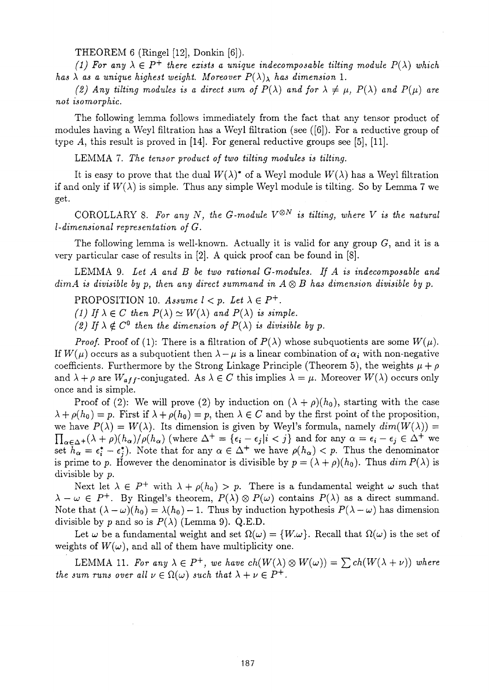THEOREM 6 (Ringel [12], Donkin [6]).

*(1)* For any  $\lambda \in P^+$  there exists a unique indecomposable tilting module  $P(\lambda)$  which *has*  $\lambda$  *as a unique highest weight. Moreover*  $P(\lambda)_{\lambda}$  *has dimension* 1.

*(2) Any tilting modules is a direct sum of*  $P(\lambda)$  *and for*  $\lambda \neq \mu$ ,  $P(\lambda)$  *and*  $P(\mu)$  *are not isomorphic.* 

The following lemma follows immediately from the fact that any tensor product of modules having a Weyl filtration has a Weyl filtration (see ([6]). For a reductive group of type  $A$ , this result is proved in [14]. For general reductive groups see [5], [11].

LEMMA 7. *The tensor product of two tilting modules is tilting.* 

It is easy to prove that the dual  $W(\lambda)^*$  of a Weyl module  $W(\lambda)$  has a Weyl filtration if and only if  $W(\lambda)$  is simple. Thus any simple Weyl module is tilting. So by Lemma 7 we get.

COROLLARY 8. *For any N, the G-module V®<sup>N</sup> is tilting, where V is the natural l-dimensional representation of G.* 

The following lemma is well-known. Actually it is valid for any group  $G$ , and it is a very particular case of results in [2]. A quick proof can be found in [8].

LEMMA 9. *Let A and be two rational G-modules. If A is indecomposable and dimA is divisible by p, then any direct summand in*  $A \otimes B$  *has dimension divisible by p.* 

PROPOSITION 10.  $Assume \, l < p. \, Let \, \lambda \in P^+$ .

*(1)* If  $\lambda \in C$  then  $P(\lambda) \simeq W(\lambda)$  and  $P(\lambda)$  is simple.

(2) If  $\lambda \notin C^0$  then the dimension of  $P(\lambda)$  is divisible by p.

*Proof.* Proof of (1): There is a filtration of  $P(\lambda)$  whose subquotients are some  $W(\mu)$ . If  $W(\mu)$  occurs as a subquotient then  $\lambda - \mu$  is a linear combination of  $\alpha_i$  with non-negative coefficients. Furthermore by the Strong Linkage Principle (Theorem 5), the weights  $\mu + \rho$ and  $\lambda + \rho$  are  $W_{aff}$ -conjugated. As  $\lambda \in C$  this implies  $\lambda = \mu$ . Moreover  $W(\lambda)$  occurs only once and is simple.

Proof of (2): We will prove (2) by induction on  $(\lambda + \rho)(h_0)$ , starting with the case  $\lambda + \rho(h_0) = p$ . First if  $\lambda + \rho(h_0) = p$ , then  $\lambda \in C$  and by the first point of the proposition, we have  $P(\lambda) = W(\lambda)$ . Its dimension is given by Weyl's formula, namely  $dim(W(\lambda)) =$  $\prod_{\alpha \in \Lambda^+} (\lambda + \rho)(h_\alpha) / \rho(h_\alpha)$  (where  $\Delta^+ = {\epsilon_i - \epsilon_j | i < j}$  and for any  $\alpha = \epsilon_i - \epsilon_j \in \Delta^+$  we set  $\bar{h}_{\alpha} = \epsilon_i^* - \epsilon_i^*$ . Note that for any  $\alpha \in \Delta^+$  we have  $\rho(h_{\alpha}) < p$ . Thus the denominator is prime to p. However the denominator is divisible by  $p = (\lambda + \rho)(h_0)$ . Thus  $\dim P(\lambda)$  is divisible by *p.* 

Next let  $\lambda \in P^+$  with  $\lambda + \rho(h_0) > p$ . There is a fundamental weight  $\omega$  such that  $-\omega \in P^+$ . By Ringel's theorem,  $P(\lambda) \otimes P(\omega)$  contains  $P(\lambda)$  as a direct summand. Note that  $(\lambda - \omega)(h_0) = \lambda(h_0) - 1$ . Thus by induction hypothesis  $P(\lambda - \omega)$  has dimension divisible by p and so is  $P(\lambda)$  (Lemma 9). Q.E.D.

Let  $\omega$  be a fundamental weight and set  $\Omega(\omega) = \{W, \omega\}$ . Recall that  $\Omega(\omega)$  is the set of weights of  $W(\omega)$ , and all of them have multiplicity one.

LEMMA 11. For any  $\lambda \in P^+$ , we have  $ch(W(\lambda) \otimes W(\omega)) = \sum ch(W(\lambda + \nu))$  where *the sum runs over all*  $\nu \in \Omega(\omega)$  *such that*  $\lambda + \nu \in P^+$ .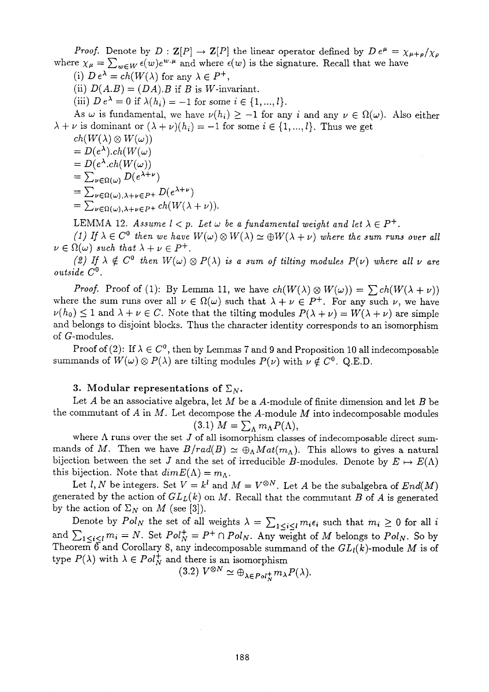*Proof.* Denote by  $D: \mathbf{Z}[P] \to \mathbf{Z}[P]$  the linear operator defined by  $D e^{\mu} = \chi_{\mu+\rho}/\chi_{\rho}$ where  $\chi_{\mu} = \sum_{w \in W} \epsilon(w) e^{w \cdot \mu}$  and where  $\epsilon(w)$  is the signature. Recall that we have

(i)  $D e^{\lambda} = ch(W(\lambda))$  for any  $\lambda \in P^+$ ,

(ii)  $D(A.B) = (DA.B)$  if B is W-invariant.

(iii)  $D e^{\lambda} = 0$  if  $\lambda(h_i) = -1$  for some  $i \in \{1, ..., l\}.$ 

As  $\omega$  is fundamental, we have  $\nu(h_i) \geq -1$  for any i and any  $\nu \in \Omega(\omega)$ . Also either  $\lambda + \nu$  is dominant or  $(\lambda + \nu)(h_i) = -1$  for some  $i \in \{1, ..., l\}$ . Thus we get

 $ch(W(\lambda) \otimes W(\omega))$  $= D(e^{\lambda})$ .ch $(W(\omega))$  $= D(e^{\lambda}.ch(W(\omega)))$  $= \sum_{\mu \in \Omega(\omega)} D(e^{\alpha \mu})$  $=$   $\sum_{\nu \in \Omega(\omega), \lambda + \nu \in P^+} D(e^{\lambda + \nu})$  $=$   $\sum_{\nu \in \Omega(\omega),\lambda+\nu \in P^+} c n(W(\lambda +$ 

LEMMA 12. Assume  $l < p$ . Let  $\omega$  be a fundamental weight and let  $\lambda \in P^+$ .

*(1)* If  $\lambda \in C^0$  then we have  $W(\omega) \otimes W(\lambda) \simeq \bigoplus W(\lambda + \nu)$  where the sum runs over all  $\in \Omega(\omega)$  such that  $\lambda + \nu \in P^+$ .

(2) If  $\lambda \notin C^0$  then  $W(\omega) \otimes P(\lambda)$  is a sum of tilting modules  $P(\nu)$  where all  $\nu$  are *outside* C° .

*Proof.* Proof of (1): By Lemma 11, we have  $ch(W(\lambda) \otimes W(\omega)) = \sum ch(W(\lambda + \nu))$ where the sum runs over all  $\nu \in \Omega(\omega)$  such that  $\lambda + \nu \in P^+$ . For any such  $\nu$ , we have  $\nu(h_0) \leq 1$  and  $\lambda + \nu \in C$ . Note that the tilting modules  $P(\lambda + \nu) = W(\lambda + \nu)$  are simple and belongs to disjoint blocks. Thus the character identity corresponds to an isomorphism of G-modules.

Proof of (2): If  $\lambda \in C^0$ , then by Lemmas 7 and 9 and Proposition 10 all indecomposable summands of  $W(\omega) \otimes P(\lambda)$  are tilting modules  $P(\nu)$  with  $\nu \notin C^0$ . Q.E.D.

#### **3.** Modular representations of  $\Sigma_N$ .

Let  $A$  be an associative algebra, let  $M$  be a  $A$ -module of finite dimension and let  $B$  be the commutant of  $A$  in  $M$ . Let decompose the  $A$ -module  $M$  into indecomposable modules (3.1)  $M = \sum_{\Lambda} m_{\Lambda} P(\Lambda),$ 

where  $\Lambda$  runs over the set  $J$  of all isomorphism classes of indecomposable direct summands of M. Then we have  $B/rad(B) \simeq \bigoplus_{\Lambda} Mat(m_{\Lambda})$ . This allows to gives a natural bijection between the set *J* and the set of irreducible *B*-modules. Denote by  $E \mapsto E(\Lambda)$ this bijection. Note that  $dim E(\Lambda) = m_{\Lambda}$ .

Let l, N be integers. Set  $V = k^l$  and  $M = V^{\otimes N}$ . Let A be the subalgebra of  $End(M)$ generated by the action of  $GL<sub>L</sub>(k)$  on M. Recall that the commutant B of A is generated by the action of  $\Sigma_N$  on M (see [3]).

Denote by  $Pol_N$  the set of all weights  $\lambda = \sum_{1 \leq i \leq l} m_i \epsilon_i$  such that  $m_i \geq 0$  for all and  $\sum_{1 \le i \le l} m_i = N$ . Set  $Pol_N^+ = P^+ \cap Pol_N$ . Any weight of *M* belongs to  $Pol_N$ . So by Theorem  $\widehat{6}$  and Corollary 8, any indecomposable summand of the  $GL_l(k)$ -module *M* is of type  $P(\lambda)$  with  $\lambda \in Pol^+_N$  and there is an isomorphism

$$
(3.2) V^{\otimes N} \simeq \bigoplus_{\lambda \in Pol^+} m_{\lambda} P(\lambda).
$$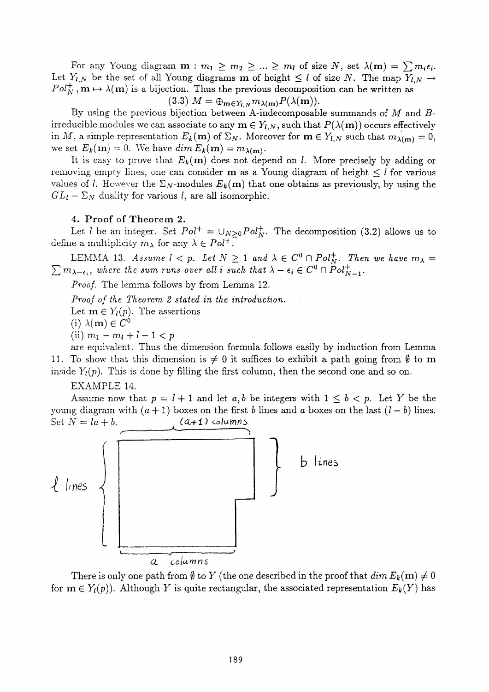For any Young diagram  $m : m_1 \ge m_2 \ge ... \ge m_l$  of size N, set  $\lambda(m) = \sum m_i \epsilon_i$ . Let  $Y_{l,N}$  be the set of all Young diagrams **m** of height  $\leq l$  of size N. The map  $Y_{l,N} \to$  $Pol_{N}^{+}$ ,  $m \mapsto \lambda(m)$  is a bijection. Thus the previous decomposition can be written as

 $(3.3)$   $M = \bigoplus_{\mathbf{m} \in Y_{l,N}} m_{\lambda(\mathbf{m})} P(\lambda(\mathbf{m})).$ 

By using the previous bijection between A-indecomposable summands of *M* and *B*irreducible modules we can associate to any  $\mathbf{m} \in Y_{l,N}$ , such that  $P(\lambda(\mathbf{m}))$  occurs effectively in M, a simple representation  $E_k(\mathbf{m})$  of  $\Sigma_N$ . Moreover for  $\mathbf{m} \in Y_{l,N}$  such that  $m_{\lambda(\mathbf{m})} = 0$ , we set  $E_k(m) = 0$ . We have  $\dim E_k(m) = m_{\lambda(m)}$ .

It is easy to prove that  $E_k(m)$  does not depend on *l*. More precisely by adding or removing empty lines, one can consider **m** as a Young diagram of height  $\leq l$  for various values of *l*. However the  $\Sigma_N$ -modules  $E_k(m)$  that one obtains as previously, by using the  $GL_l - \Sigma_N$  duality for various *l*, are all isomorphic.

#### 4. Proof of Theorem 2.

Let l be an integer. Set  $Pol^+ = \bigcup_{N>0} Pol_N^+$ . The decomposition (3.2) allows us to define a multiplicity  $m_{\lambda}$  for any  $\lambda \in Pol^+$ .

LEMMA 13. *Assume*  $l < p$ . Let  $N \geq 1$  and  $\lambda \in C^0 \cap Pol_{N}^+$ . Then we have  $m_{\lambda} =$  $\sum m_{\lambda-\epsilon_i}$ , where the sum runs over all i such that  $\lambda - \epsilon_i \in C^0 \cap \overset{\sim}{P}ol_{N-1}^+$ .

*Proof.* The lemma follows by from Lemma 12.

*Proof of the Theorem 2 stated in the introduction.* 

Let  $m \in Y_l(p)$ . The assertions

(i)  $\lambda(\mathbf{m}) \in \widetilde{C}^0$ 

 $(iii)$   $m_1 - m_l + l - 1 < p$ 

are equivalent. Thus the dimension formula follows easily by induction from Lemma 11. To show that this dimension is  $\neq 0$  it suffices to exhibit a path going from  $\emptyset$  to m inside  $Y_l(p)$ . This is done by filling the first column, then the second one and so on.

EXAMPLE 14.

Assume now that  $p = l + 1$  and let a, b be integers with  $1 \leq b < p$ . Let Y be the young diagram with  $(a + 1)$  boxes on the first *b* lines and *a* boxes on the last  $(l - b)$  lines. Set  $N = la + b$ . *(a+1) columns* 



There is only one path from  $\emptyset$  to Y (the one described in the proof that  $dim E_k(m) \neq 0$ for  $m \in Y_l(p)$ ). Although Y is quite rectangular, the associated representation  $E_k(Y)$  has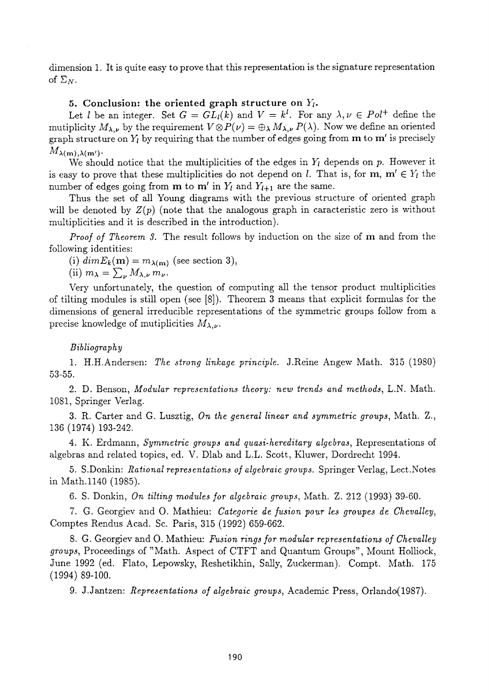dimension 1. It is quite easy to prove that this representation is the signature representation of  $\Sigma_N$ .

#### 5. Conclusion: the oriented graph structure on  $Y_i$ .

Let *l* be an integer. Set  $G = GL_{l}(k)$  and  $V = k^{l}$ . For any  $\lambda, \nu \in Pol^{+}$  define the mutiplicity  $M_{\lambda,\nu}$  by the requirement  $V \otimes P(\nu) = \bigoplus_{\lambda} M_{\lambda,\nu} P(\lambda)$ . Now we define an oriented graph structure on  $Y_l$  by requiring that the number of edges going from  $m$  to  $m'$  is precisely  $M_{\lambda(m),\lambda(m')}$ .

We should notice that the multiplicities of the edges in  $Y<sub>l</sub>$  depends on p. However it is easy to prove that these multiplicities do not depend on *l*. That is, for  $m, m' \in Y_l$  the number of edges going from **m** to **m'** in  $Y_l$  and  $Y_{l+1}$  are the same.

Thus the set of all Young diagrams with the previous structure of oriented graph will be denoted by  $Z(p)$  (note that the analogous graph in caracteristic zero is without multiplicities and it is described in the introduction).

*Proof of Theorem 3.* The result follows by induction on the size of m and from the following identities:

(i)  $dim E_k(m) = m_{\lambda(m)}$  (see section 3),

(ii)  $m_{\lambda} = \sum_{\nu} M_{\lambda,\nu} m_{\nu}$ .

Very unfortunately, the question of computing all the tensor product multiplicities of tilting modules is still open (see [8]). Theorem 3 means that explicit formulas for the dimensions of general irreducible representations of the symmetric groups follow from a precise knowledge of mutiplicities  $M_{\lambda,\nu}$ .

#### *Bibliography*

1. H.H.Andersen: *The strong linkage principle.* J.Reine Angew Math. 315 (1980) 53-55.

2. D. Benson, *Modular representations theory: new trends and methods,* L.N. Math. 1081, Springer Verlag.

3. R. Carter and G. Lusztig, *On the general linear and symmetric groups,* Math. Z., 136 (1974) 193-242.

4. K. Erdmann, *Symmetric groups and quasi-hereditary algebras,* Representations of algebras and related topics, ed. V. Dlab and L.L. Scott, Kluwer, Dordrecht 1994.

5. S.Donkin: *Rational representations of algebraic groups.* Springer Verlag, Lect.Notes in Math.1140 (1985).

6. S. Donkin, *On tilting modules for algebraic groups,* Math. Z. 212 (1993) 39-60.

7. G. Georgiev and 0 . Mathieu: *Categorie de fusion pour les groupes de Chevalley,*  Comptes Rendus Acad. Sc. Paris, 315 (1992) 659-662.

8. G. Georgiev and O. Mathieu: *Fusion rings for modular representations of Chevalley groups,* Proceedings of "Math. Aspect of CTFT and Quantum Groups", Mount Holliock, June 1992 (ed. Flato, Lepowsky, Reshetikhin, Sally, Zuckerman). Compt. Math. 175 (1994) 89-100.

9. J.Jantzen: *Representations of algebraic groups,* Academic Press, Orlando(1987).